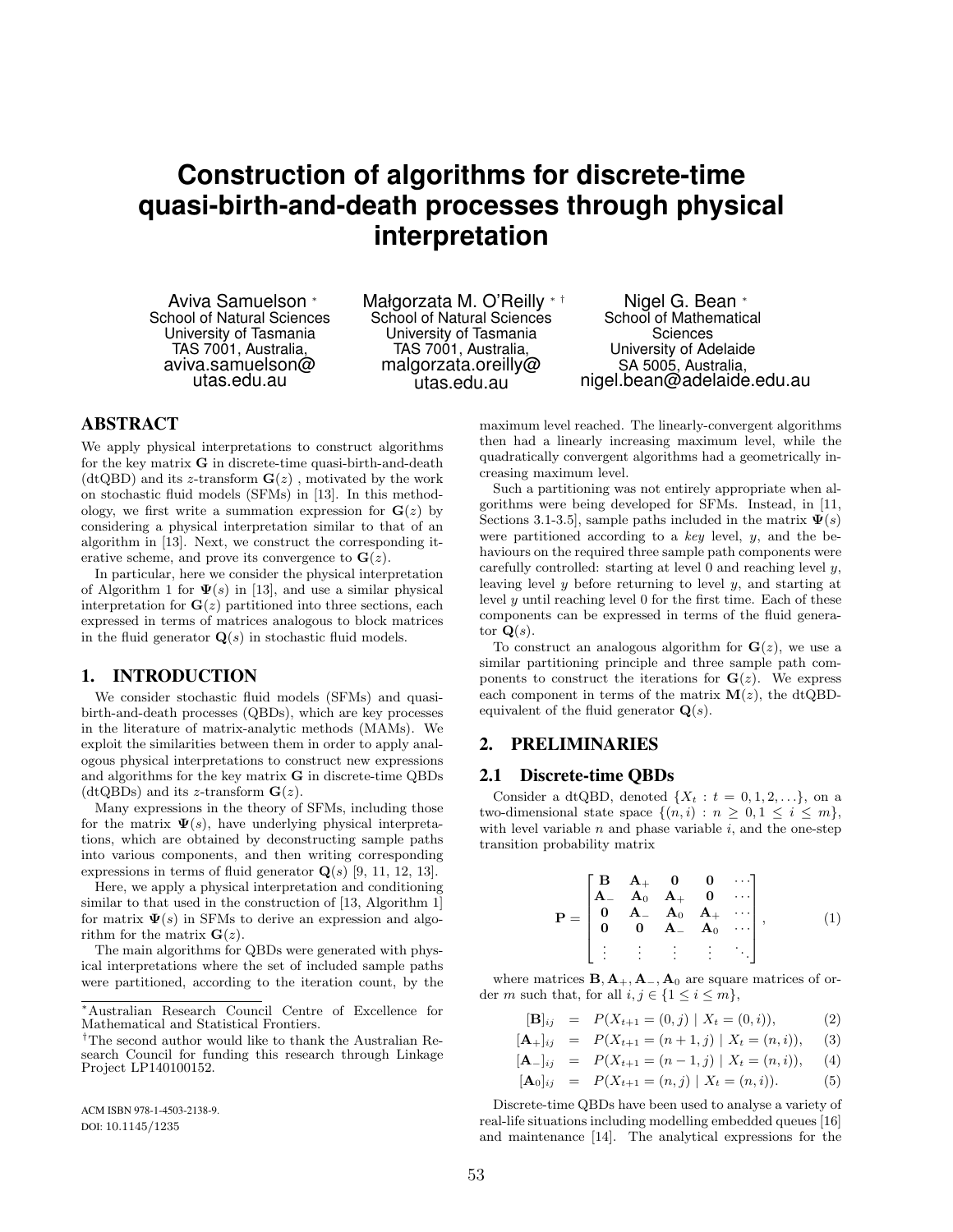# **Construction of algorithms for discrete-time quasi-birth-and-death processes through physical interpretation**

Aviva Samuelson <sup>∗</sup> School of Natural Sciences University of Tasmania TAS 7001, Australia, aviva.samuelson@ utas.edu.au

Małgorzata M. O'Reilly ∗ † School of Natural Sciences University of Tasmania TAS 7001, Australia, malgorzata.oreilly@ utas.edu.au

Nigel G. Bean <sup>∗</sup> School of Mathematical **Sciences** University of Adelaide SA 5005, Australia, nigel.bean@adelaide.edu.au

## ABSTRACT

We apply physical interpretations to construct algorithms for the key matrix G in discrete-time quasi-birth-and-death (dtQBD) and its z-transform  $\mathbf{G}(z)$ , motivated by the work on stochastic fluid models (SFMs) in [13]. In this methodology, we first write a summation expression for  $\mathbf{G}(z)$  by considering a physical interpretation similar to that of an algorithm in [13]. Next, we construct the corresponding iterative scheme, and prove its convergence to  $\mathbf{G}(z)$ .

In particular, here we consider the physical interpretation of Algorithm 1 for  $\Psi(s)$  in [13], and use a similar physical interpretation for  $\mathbf{G}(z)$  partitioned into three sections, each expressed in terms of matrices analogous to block matrices in the fluid generator  $\mathbf{Q}(s)$  in stochastic fluid models.

## 1. INTRODUCTION

We consider stochastic fluid models (SFMs) and quasibirth-and-death processes (QBDs), which are key processes in the literature of matrix-analytic methods (MAMs). We exploit the similarities between them in order to apply analogous physical interpretations to construct new expressions and algorithms for the key matrix G in discrete-time QBDs (dtQBDs) and its z-transform  $\mathbf{G}(z)$ .

Many expressions in the theory of SFMs, including those for the matrix  $\Psi(s)$ , have underlying physical interpretations, which are obtained by deconstructing sample paths into various components, and then writing corresponding expressions in terms of fluid generator  $Q(s)$  [9, 11, 12, 13].

Here, we apply a physical interpretation and conditioning similar to that used in the construction of [13, Algorithm 1] for matrix  $\Psi(s)$  in SFMs to derive an expression and algorithm for the matrix  $G(z)$ .

The main algorithms for QBDs were generated with physical interpretations where the set of included sample paths were partitioned, according to the iteration count, by the

ACM ISBN 978-1-4503-2138-9. DOI: 10.1145/1235

maximum level reached. The linearly-convergent algorithms then had a linearly increasing maximum level, while the quadratically convergent algorithms had a geometrically increasing maximum level.

Such a partitioning was not entirely appropriate when algorithms were being developed for SFMs. Instead, in [11, Sections 3.1-3.5], sample paths included in the matrix  $\Psi(s)$ were partitioned according to a key level,  $y$ , and the behaviours on the required three sample path components were carefully controlled: starting at level  $0$  and reaching level  $y$ , leaving level  $y$  before returning to level  $y$ , and starting at level  $y$  until reaching level  $0$  for the first time. Each of these components can be expressed in terms of the fluid generator  $\mathbf{Q}(s)$ .

To construct an analogous algorithm for  $\mathbf{G}(z)$ , we use a similar partitioning principle and three sample path components to construct the iterations for  $\mathbf{G}(z)$ . We express each component in terms of the matrix  $M(z)$ , the dtQBDequivalent of the fluid generator  $\mathbf{Q}(s)$ .

## 2. PRELIMINARIES

### 2.1 Discrete-time QBDs

Consider a dtQBD, denoted  $\{X_t : t = 0, 1, 2, ...\}$ , on a two-dimensional state space  $\{(n,i): n \geq 0, 1 \leq i \leq m\},\$ with level variable  $n$  and phase variable  $i$ , and the one-step transition probability matrix

$$
\mathbf{P} = \begin{bmatrix} \mathbf{B} & \mathbf{A}_{+} & \mathbf{0} & \mathbf{0} & \cdots \\ \mathbf{A}_{-} & \mathbf{A}_{0} & \mathbf{A}_{+} & \mathbf{0} & \cdots \\ \mathbf{0} & \mathbf{A}_{-} & \mathbf{A}_{0} & \mathbf{A}_{+} & \cdots \\ \mathbf{0} & \mathbf{0} & \mathbf{A}_{-} & \mathbf{A}_{0} & \cdots \\ \vdots & \vdots & \vdots & \vdots & \ddots \end{bmatrix}, \quad (1)
$$

where matrices  $\mathbf{B}, \mathbf{A}_+, \mathbf{A}_-, \mathbf{A}_0$  are square matrices of order m such that, for all  $i, j \in \{1 \leq i \leq m\},\$ 

$$
[\mathbf{B}]_{ij} = P(X_{t+1} = (0, j) | X_t = (0, i)), \tag{2}
$$

$$
[\mathbf{A}_{+}]_{ij} = P(X_{t+1} = (n+1, j) | X_t = (n, i)), \quad (3)
$$

$$
[\mathbf{A}_{-}]_{ij} = P(X_{t+1} = (n-1, j) | X_t = (n, i)), \quad (4)
$$

$$
[\mathbf{A}_0]_{ij} = P(X_{t+1} = (n,j) | X_t = (n,i)). \tag{5}
$$

Discrete-time QBDs have been used to analyse a variety of real-life situations including modelling embedded queues [16] and maintenance [14]. The analytical expressions for the

<sup>∗</sup>Australian Research Council Centre of Excellence for Mathematical and Statistical Frontiers.

<sup>†</sup>The second author would like to thank the Australian Research Council for funding this research through Linkage Project LP140100152.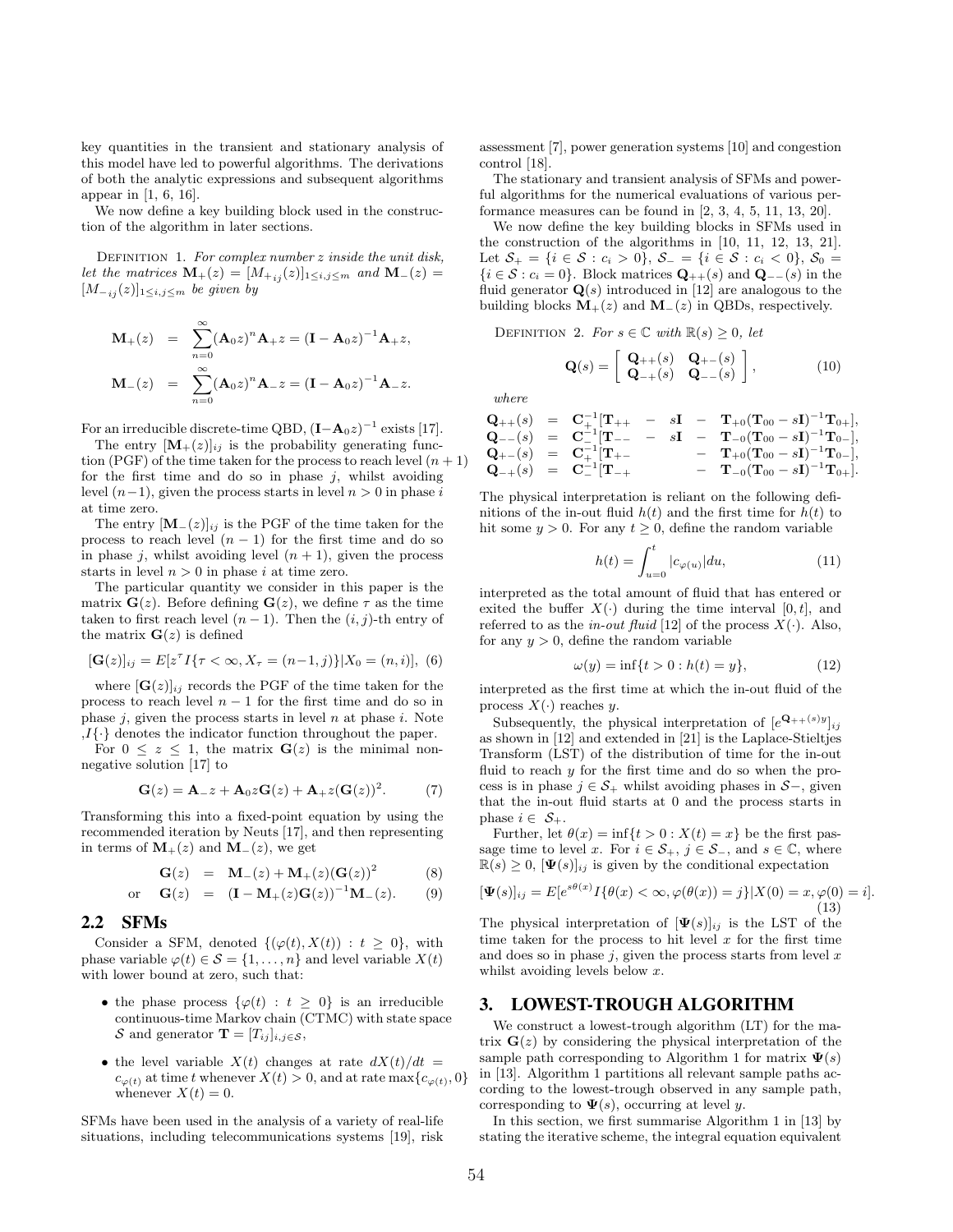key quantities in the transient and stationary analysis of this model have led to powerful algorithms. The derivations of both the analytic expressions and subsequent algorithms appear in [1, 6, 16].

We now define a key building block used in the construction of the algorithm in later sections.

DEFINITION 1. For complex number  $z$  inside the unit disk, let the matrices  $\mathbf{M}_{+}(z) = [M_{+ij}(z)]_{1 \leq i,j \leq m}$  and  $\mathbf{M}_{-}(z) =$  $[M_{-i,j}(z)]_{1\leq i,j\leq m}$  be given by

$$
M_{+}(z) = \sum_{n=0}^{\infty} (A_0 z)^n A_{+} z = (I - A_0 z)^{-1} A_{+} z,
$$
  

$$
M_{-}(z) = \sum_{n=0}^{\infty} (A_0 z)^n A_{-} z = (I - A_0 z)^{-1} A_{-} z.
$$

For an irreducible discrete-time QBD,  $(I - A_0 z)^{-1}$  exists [17].

The entry  $[\mathbf{M}_{+}(z)]_{ij}$  is the probability generating function (PGF) of the time taken for the process to reach level  $(n + 1)$ for the first time and do so in phase  $j$ , whilst avoiding level  $(n-1)$ , given the process starts in level  $n > 0$  in phase i at time zero.

The entry  $[M_-(z)]_{ij}$  is the PGF of the time taken for the process to reach level  $(n - 1)$  for the first time and do so in phase j, whilst avoiding level  $(n + 1)$ , given the process starts in level  $n > 0$  in phase i at time zero.

The particular quantity we consider in this paper is the matrix  $\mathbf{G}(z)$ . Before defining  $\mathbf{G}(z)$ , we define  $\tau$  as the time taken to first reach level  $(n-1)$ . Then the  $(i, j)$ -th entry of the matrix  $\mathbf{G}(z)$  is defined

$$
[\mathbf{G}(z)]_{ij} = E[z^{\tau} I\{\tau < \infty, X_{\tau} = (n-1, j)\}|X_0 = (n, i)], (6)
$$

where  $[\mathbf{G}(z)]_{ij}$  records the PGF of the time taken for the process to reach level  $n - 1$  for the first time and do so in phase  $j$ , given the process starts in level  $n$  at phase  $i$ . Note  $,I{\{\cdot\}}$  denotes the indicator function throughout the paper.

For  $0 \leq z \leq 1$ , the matrix  $\mathbf{G}(z)$  is the minimal nonnegative solution [17] to

$$
\mathbf{G}(z) = \mathbf{A}_{-}z + \mathbf{A}_0 z \mathbf{G}(z) + \mathbf{A}_{+} z (\mathbf{G}(z))^2.
$$
 (7)

Transforming this into a fixed-point equation by using the recommended iteration by Neuts [17], and then representing in terms of  $\mathbf{M}_+(z)$  and  $\mathbf{M}_-(z)$ , we get

$$
G(z) = M_{-}(z) + M_{+}(z) (G(z))^{2}
$$
 (8)

or 
$$
G(z) = (I - M_{+}(z)G(z))^{-1}M_{-}(z).
$$
 (9)

## 2.2 SFMs

Consider a SFM, denoted  $\{(\varphi(t), X(t)) : t \geq 0\}$ , with phase variable  $\varphi(t) \in \mathcal{S} = \{1, \ldots, n\}$  and level variable  $X(t)$ with lower bound at zero, such that:

- the phase process  $\{\varphi(t) : t \geq 0\}$  is an irreducible continuous-time Markov chain (CTMC) with state space S and generator  $\mathbf{T} = [T_{ij}]_{i,j \in \mathcal{S}},$
- the level variable  $X(t)$  changes at rate  $dX(t)/dt =$  $c_{\varphi(t)}$  at time t whenever  $X(t) > 0$ , and at rate max $\{c_{\varphi(t)}, 0\}$ whenever  $X(t) = 0$ .

SFMs have been used in the analysis of a variety of real-life situations, including telecommunications systems [19], risk assessment [7], power generation systems [10] and congestion control [18].

The stationary and transient analysis of SFMs and powerful algorithms for the numerical evaluations of various performance measures can be found in [2, 3, 4, 5, 11, 13, 20].

We now define the key building blocks in SFMs used in the construction of the algorithms in [10, 11, 12, 13, 21]. Let  $S_+ = \{i \in S : c_i > 0\}, S_- = \{i \in S : c_i < 0\}, S_0 =$  $\{i \in \mathcal{S} : c_i = 0\}$ . Block matrices  $\mathbf{Q}_{++}(s)$  and  $\mathbf{Q}_{--}(s)$  in the fluid generator  $\mathbf{Q}(s)$  introduced in [12] are analogous to the building blocks  $M_{+}(z)$  and  $M_{-}(z)$  in QBDs, respectively.

DEFINITION 2. For  $s \in \mathbb{C}$  with  $\mathbb{R}(s) \geq 0$ , let

$$
\mathbf{Q}(s) = \begin{bmatrix} \mathbf{Q}_{++}(s) & \mathbf{Q}_{+-}(s) \\ \mathbf{Q}_{-+}(s) & \mathbf{Q}_{--}(s) \end{bmatrix},
$$
(10)

where

$$
\begin{array}{ccl} \mathbf{Q}_{++}(s) & = & \mathbf{C}^{-1}_{+}[\mathbf{T}_{++} \;\; - \;\; s\mathbf{I} \;\; - \;\; \mathbf{T}_{+0}(\mathbf{T}_{00}-s\mathbf{I})^{-1}\mathbf{T}_{0+}],\\ \mathbf{Q}_{--}(s) & = & \mathbf{C}^{-1}_{-}[\mathbf{T}_{--} \;\; - \;\; s\mathbf{I} \;\; - \;\; \mathbf{T}_{-0}(\mathbf{T}_{00}-s\mathbf{I})^{-1}\mathbf{T}_{0-}],\\ \mathbf{Q}_{+-}(s) & = & \mathbf{C}^{-1}_{+}[\mathbf{T}_{+-} \;\; - \;\; \mathbf{T}_{+0}(\mathbf{T}_{00}-s\mathbf{I})^{-1}\mathbf{T}_{0-}],\\ \mathbf{Q}_{-+}(s) & = & \mathbf{C}^{-1}_{-}[\mathbf{T}_{-+} \;\; - \;\; \mathbf{T}_{-0}(\mathbf{T}_{00}-s\mathbf{I})^{-1}\mathbf{T}_{0+}]. \end{array}
$$

The physical interpretation is reliant on the following definitions of the in-out fluid  $h(t)$  and the first time for  $h(t)$  to hit some  $y > 0$ . For any  $t \geq 0$ , define the random variable

$$
h(t) = \int_{u=0}^{t} |c_{\varphi(u)}| du,
$$
\n(11)

interpreted as the total amount of fluid that has entered or exited the buffer  $X(\cdot)$  during the time interval  $[0, t]$ , and referred to as the *in-out fluid* [12] of the process  $X(\cdot)$ . Also, for any  $y > 0$ , define the random variable

$$
\omega(y) = \inf\{t > 0 : h(t) = y\},\tag{12}
$$

interpreted as the first time at which the in-out fluid of the process  $X(\cdot)$  reaches y.

Subsequently, the physical interpretation of  $[e^{\mathbf{Q}_{++}(s)y}]_{ij}$ as shown in [12] and extended in [21] is the Laplace-Stieltjes Transform (LST) of the distribution of time for the in-out fluid to reach y for the first time and do so when the process is in phase  $j \in S_+$  whilst avoiding phases in  $S-$ , given that the in-out fluid starts at 0 and the process starts in phase  $i \in S_+$ .

Further, let  $\theta(x) = \inf\{t > 0 : X(t) = x\}$  be the first passage time to level x. For  $i \in S_+$ ,  $j \in S_-$ , and  $s \in \mathbb{C}$ , where  $\mathbb{R}(s) \geq 0$ ,  $[\Psi(s)]_{ij}$  is given by the conditional expectation

$$
[\Psi(s)]_{ij} = E[e^{s\theta(x)}I\{\theta(x) < \infty, \varphi(\theta(x)) = j\}|X(0) = x, \varphi(0) = i].\tag{13}
$$

The physical interpretation of  $[\Psi(s)]_{ij}$  is the LST of the time taken for the process to hit level  $x$  for the first time and does so in phase  $j$ , given the process starts from level  $x$ whilst avoiding levels below x.

## 3. LOWEST-TROUGH ALGORITHM

We construct a lowest-trough algorithm (LT) for the matrix  $\mathbf{G}(z)$  by considering the physical interpretation of the sample path corresponding to Algorithm 1 for matrix  $\Psi(s)$ in [13]. Algorithm 1 partitions all relevant sample paths according to the lowest-trough observed in any sample path, corresponding to  $\Psi(s)$ , occurring at level y.

In this section, we first summarise Algorithm 1 in [13] by stating the iterative scheme, the integral equation equivalent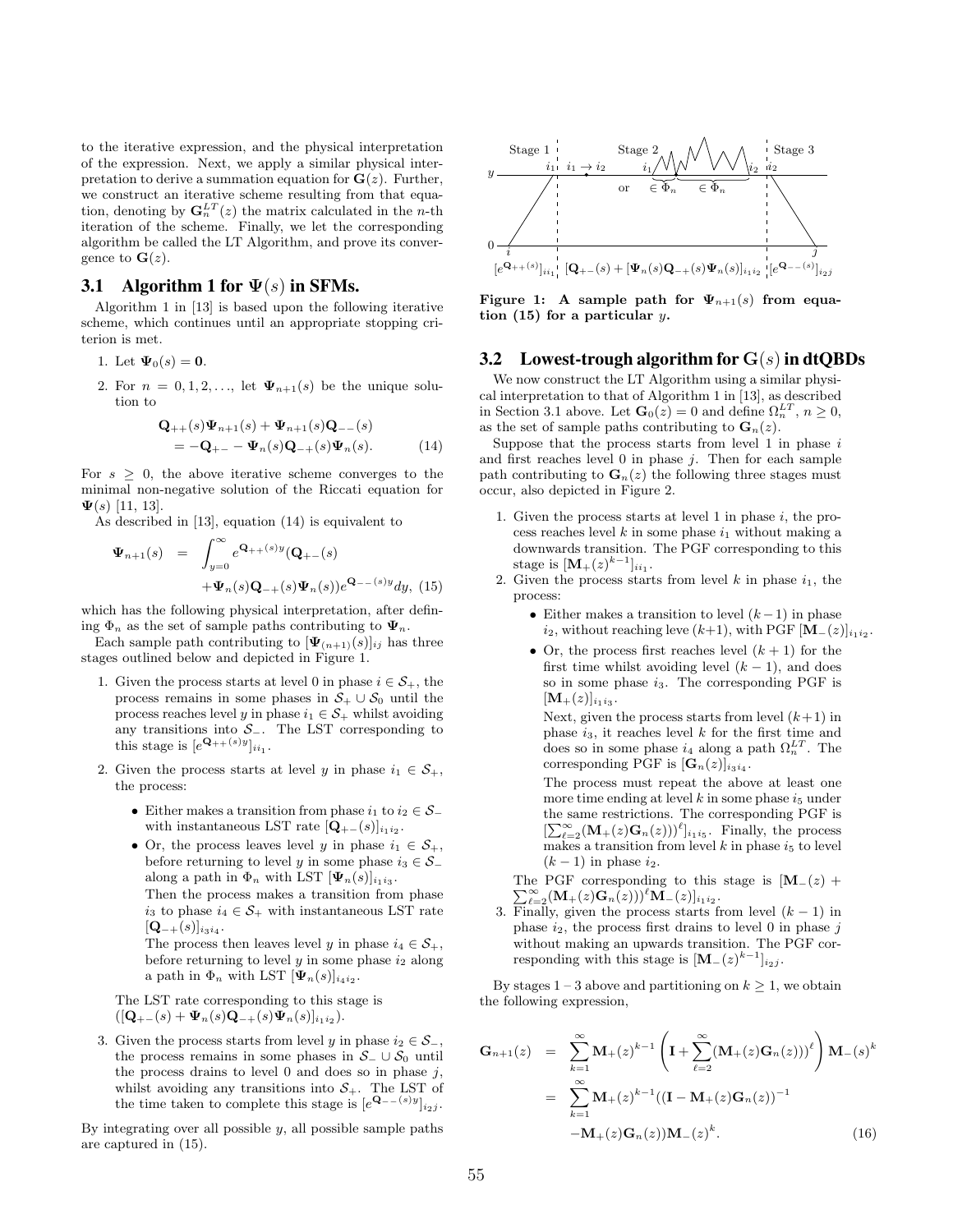to the iterative expression, and the physical interpretation of the expression. Next, we apply a similar physical interpretation to derive a summation equation for  $\mathbf{G}(z)$ . Further, we construct an iterative scheme resulting from that equation, denoting by  $\mathbf{G}_n^{LT}(z)$  the matrix calculated in the *n*-th iteration of the scheme. Finally, we let the corresponding algorithm be called the LT Algorithm, and prove its convergence to  $\mathbf{G}(z)$ .

## 3.1 Algorithm 1 for  $\Psi(s)$  in SFMs.

Algorithm 1 in [13] is based upon the following iterative scheme, which continues until an appropriate stopping criterion is met.

- 1. Let  $\Psi_0(s) = 0$ .
- 2. For  $n = 0, 1, 2, \ldots$ , let  $\Psi_{n+1}(s)$  be the unique solution to

$$
\mathbf{Q}_{++}(s)\Psi_{n+1}(s) + \Psi_{n+1}(s)\mathbf{Q}_{--}(s)
$$
  
=  $-\mathbf{Q}_{+-} - \Psi_n(s)\mathbf{Q}_{-+}(s)\Psi_n(s).$  (14)

For  $s \geq 0$ , the above iterative scheme converges to the minimal non-negative solution of the Riccati equation for  $\Psi(s)$  [11, 13].

As described in [13], equation (14) is equivalent to

$$
\Psi_{n+1}(s) = \int_{y=0}^{\infty} e^{\mathbf{Q}_{++}(s)y} (\mathbf{Q}_{+-}(s)) + \Psi_n(s) \mathbf{Q}_{-+}(s) \Psi_n(s)) e^{\mathbf{Q}_{--}(s)y} dy, (15)
$$

which has the following physical interpretation, after defining  $\Phi_n$  as the set of sample paths contributing to  $\Psi_n$ .

Each sample path contributing to  $[\Psi_{(n+1)}(s)]_{ij}$  has three stages outlined below and depicted in Figure 1.

- 1. Given the process starts at level 0 in phase  $i \in S_+$ , the process remains in some phases in  $S_+ \cup S_0$  until the process reaches level y in phase  $i_1 \in S_+$  whilst avoiding any transitions into  $S_-.$  The LST corresponding to this stage is  $[e^{\mathbf{Q}_{++}(s)y}]_{ii_1}$ .
- 2. Given the process starts at level y in phase  $i_1 \in S_+$ , the process:
	- Either makes a transition from phase  $i_1$  to  $i_2 \in S_+$ with instantaneous LST rate  $[\mathbf{Q}_{+-}(s)]_{i_1 i_2}$ .
	- Or, the process leaves level y in phase  $i_1 \in S_+$ , before returning to level y in some phase  $i_3 \in S_$ along a path in  $\Phi_n$  with LST  $[\Psi_n(s)]_{i_1 i_3}$ . Then the process makes a transition from phase  $i_3$  to phase  $i_4 \in \mathcal{S}_+$  with instantaneous LST rate  $[\mathbf{Q}_{-+}(s)]_{i_3i_4}.$

The process then leaves level y in phase  $i_4 \in \mathcal{S}_+,$ before returning to level  $y$  in some phase  $i_2$  along a path in  $\Phi_n$  with LST  $[\Psi_n(s)]_{i_4 i_2}$ .

The LST rate corresponding to this stage is  
\n
$$
([\mathbf{Q}_{+-}(s) + \Psi_n(s)\mathbf{Q}_{-+}(s)\Psi_n(s)]_{i_1i_2}).
$$

3. Given the process starts from level y in phase  $i_2 \in S_+$ the process remains in some phases in  $S_-\cup S_0$  until the process drains to level  $\theta$  and does so in phase  $j$ , whilst avoiding any transitions into  $S_{+}$ . The LST of the time taken to complete this stage is  $[e^{\mathbf{Q}_{--}(s)y}]_{i_2j}$ .

By integrating over all possible  $y$ , all possible sample paths are captured in (15).



Figure 1: A sample path for  $\Psi_{n+1}(s)$  from equation  $(15)$  for a particular y.

## 3.2 Lowest-trough algorithm for  $G(s)$  in dtQBDs

We now construct the LT Algorithm using a similar physical interpretation to that of Algorithm 1 in [13], as described in Section 3.1 above. Let  $\mathbf{G}_0(z) = 0$  and define  $\Omega_n^{LT}$ ,  $n \ge 0$ , as the set of sample paths contributing to  $\mathbf{G}_n(z)$ .

Suppose that the process starts from level  $1$  in phase  $i$ and first reaches level  $0$  in phase  $j$ . Then for each sample path contributing to  $\mathbf{G}_n(z)$  the following three stages must occur, also depicted in Figure 2.

- 1. Given the process starts at level 1 in phase  $i$ , the process reaches level  $k$  in some phase  $i_1$  without making a downwards transition. The PGF corresponding to this stage is  $[M_+(z)^{k-1}]_{ii_1}$ .
- 2. Given the process starts from level  $k$  in phase  $i_1$ , the process:
	- Either makes a transition to level  $(k-1)$  in phase  $i_2$ , without reaching leve  $(k+1)$ , with PGF  $[\mathbf{M}_{-}(z)]_{i_1 i_2}$ .
	- Or, the process first reaches level  $(k + 1)$  for the first time whilst avoiding level  $(k - 1)$ , and does so in some phase  $i_3$ . The corresponding PGF is  $[\mathbf{M}_{+}(z)]_{i_{1}i_{3}}.$

Next, given the process starts from level  $(k+1)$  in phase  $i_3$ , it reaches level  $k$  for the first time and does so in some phase  $i_4$  along a path  $\Omega_n^{LT}$ . The corresponding PGF is  $[\mathbf{G}_n(z)]_{i_3i_4}$ .

The process must repeat the above at least one more time ending at level  $k$  in some phase  $i_5$  under the same restrictions. The corresponding PGF is  $[\sum_{\ell=2}^{\infty} (\mathbf{M}_{+}(z)\mathbf{G}_{n}(z)))^{\ell}]_{i_1i_5}$ . Finally, the process makes a transition from level k in phase  $i_5$  to level  $(k-1)$  in phase  $i_2$ .

The PGF corresponding to this stage is  $[M_-(z) +$  $\sum_{\ell=2}^{\infty} (\mathbf{M}_{+}(z)\mathbf{G}_{n}(z)))^{\ell} \mathbf{M}_{-}(z)]_{i_{1}i_{2}}.$ 

3. Finally, given the process starts from level  $(k - 1)$  in phase  $i_2$ , the process first drains to level 0 in phase  $j$ without making an upwards transition. The PGF corresponding with this stage is  $[\mathbf{M}_{-}(z)^{k-1}]_{i_2j}$ .

By stages  $1-3$  above and partitioning on  $k \geq 1$ , we obtain the following expression,

$$
\mathbf{G}_{n+1}(z) = \sum_{k=1}^{\infty} \mathbf{M}_{+}(z)^{k-1} \left( \mathbf{I} + \sum_{\ell=2}^{\infty} (\mathbf{M}_{+}(z)\mathbf{G}_{n}(z)))^{\ell} \right) \mathbf{M}_{-}(s)^{k}
$$

$$
= \sum_{k=1}^{\infty} \mathbf{M}_{+}(z)^{k-1} ((\mathbf{I} - \mathbf{M}_{+}(z)\mathbf{G}_{n}(z)))^{-1}
$$

$$
- \mathbf{M}_{+}(z)\mathbf{G}_{n}(z))\mathbf{M}_{-}(z)^{k}.
$$
(16)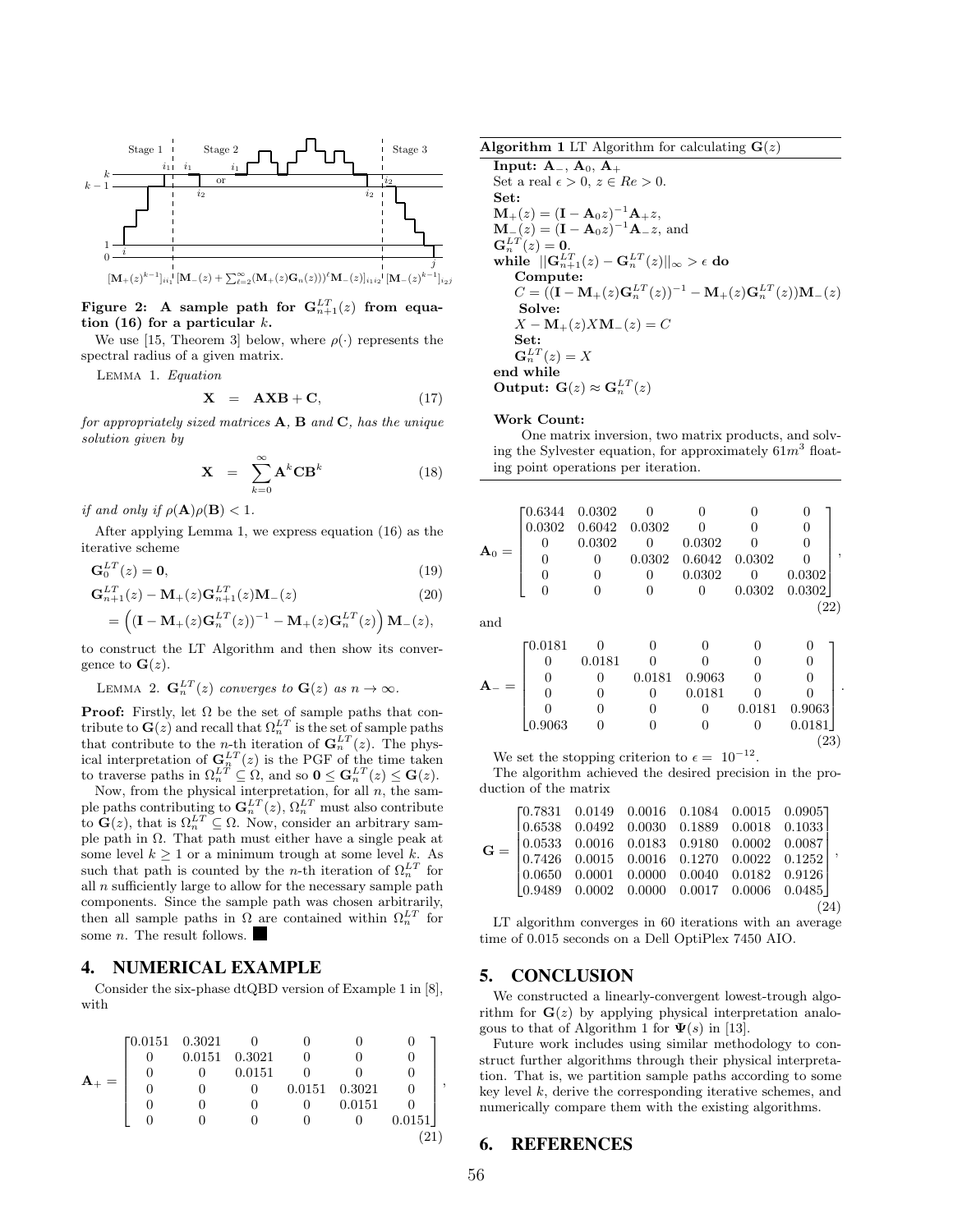

Figure 2: A sample path for  $\mathbf{G}^{LT}_{n+1}(z)$  from equation (16) for a particular  $k$ .

We use [15, Theorem 3] below, where  $\rho(\cdot)$  represents the spectral radius of a given matrix.

Lemma 1. Equation

$$
\mathbf{X} = \mathbf{A} \mathbf{X} \mathbf{B} + \mathbf{C}, \tag{17}
$$

for appropriately sized matrices  $A, B$  and  $C$ , has the unique solution given by

$$
\mathbf{X} = \sum_{k=0}^{\infty} \mathbf{A}^k \mathbf{C} \mathbf{B}^k
$$
 (18)

if and only if  $\rho(\mathbf{A})\rho(\mathbf{B}) < 1$ .

gence to  $\mathbf{G}(z)$ .

After applying Lemma 1, we express equation (16) as the iterative scheme

$$
\mathbf{G}_0^{LT}(z) = \mathbf{0},\tag{19}
$$

$$
\mathbf{G}_{n+1}^{LT}(z) - \mathbf{M}_{+}(z)\mathbf{G}_{n+1}^{LT}(z)\mathbf{M}_{-}(z)
$$
\n
$$
= \left( (\mathbf{I} - \mathbf{M}_{+}(z)\mathbf{G}_{n}^{LT}(z))^{-1} - \mathbf{M}_{+}(z)\mathbf{G}_{n}^{LT}(z) \right) \mathbf{M}_{-}(z),
$$
\n(20)

to construct the LT Algorithm and then show its conver-

LEMMA 2. 
$$
\mathbf{G}_n^{LT}(z)
$$
 converges to  $\mathbf{G}(z)$  as  $n \to \infty$ .

**Proof:** Firstly, let  $\Omega$  be the set of sample paths that contribute to  $\mathbf{G}(z)$  and recall that  $\Omega_n^{LT}$  is the set of sample paths that contribute to the *n*-th iteration of  $\mathbf{G}_n^{LT}(z)$ . The physical interpretation of  $\mathbf{G}_n^{LT}(z)$  is the PGF of the time taken to traverse paths in  $\Omega_n^{LT} \subseteq \Omega$ , and so  $0 \leq \mathbf{G}_n^{LT}(z) \leq \mathbf{G}(z)$ .<br>Now, from the physical interpretation, for all *n*, the sam-

ple paths contributing to  $\mathbf{G}_n^{LT}(z)$ ,  $\Omega_n^{LT}$  must also contribute to  $\mathbf{G}(z)$ , that is  $\Omega_n^{LT} \subseteq \Omega$ . Now, consider an arbitrary sample path in  $\Omega$ . That path must either have a single peak at some level  $k \geq 1$  or a minimum trough at some level k. As such that path is counted by the *n*-th iteration of  $\Omega_n^{LT}$  for all  $n$  sufficiently large to allow for the necessary sample path components. Since the sample path was chosen arbitrarily, then all sample paths in  $\Omega$  are contained within  $\Omega_n^{LT}$  for some *n*. The result follows.

### 4. NUMERICAL EXAMPLE

Consider the six-phase dtQBD version of Example 1 in [8], with

|  | $\Gamma$ 0.0151 0.3021 |        |        |        |        |        |  |
|--|------------------------|--------|--------|--------|--------|--------|--|
|  | $\theta$               | 0.0151 | 0.3021 |        |        |        |  |
|  | O                      |        | 0.0151 |        |        |        |  |
|  |                        |        |        | 0.0151 | 0.3021 |        |  |
|  |                        |        |        |        | 0.0151 |        |  |
|  |                        |        |        |        |        | 0.0151 |  |
|  |                        |        |        |        |        |        |  |

| <b>Algorithm 1</b> LT Algorithm for calculating $\mathbf{G}(z)$ |  |  |  |  |  |
|-----------------------------------------------------------------|--|--|--|--|--|
|-----------------------------------------------------------------|--|--|--|--|--|

Input:  $A_-, A_0, A_+$ Set a real  $\epsilon > 0$ ,  $z \in Re > 0$ . Set:  ${\bf M}_{+}(z) = ({\bf I} - {\bf A}_0 z)^{-1} {\bf A}_{+} z,$  ${\bf M}_{-}(z) = ({\bf I} - {\bf A}_0 z)^{-1} {\bf A}_{-} z$ , and  $\mathbf{G}_n^{LT}(z)=\mathbf{0}.$ while  $||\mathbf{G}_{n+1}^{LT}(z) - \mathbf{G}_n^{LT}(z)||_{\infty} > \epsilon$  do Compute:  $C = ((\mathbf{I} - \mathbf{M}_+(z)\mathbf{G}_n^{LT}(z))^{-1} - \mathbf{M}_+(z)\mathbf{G}_n^{LT}(z))\mathbf{M}_-(z)$ Solve:  $X - M_{+}(z) X M_{-}(z) = C$ Set:  $\mathbf{G}_n^{LT}(z)=X$ end while Output:  $\mathbf{G}(z) \approx \mathbf{G}_n^{LT}(z)$ 

#### Work Count:

One matrix inversion, two matrix products, and solving the Sylvester equation, for approximately  $61m^3$  floating point operations per iteration.

$$
\mathbf{A}_0 = \begin{bmatrix} 0.6344 & 0.0302 & 0 & 0 & 0 & 0 \\ 0.0302 & 0.6042 & 0.0302 & 0 & 0 & 0 \\ 0 & 0.0302 & 0 & 0.0302 & 0 & 0 \\ 0 & 0 & 0.0302 & 0.6042 & 0.0302 & 0 \\ 0 & 0 & 0 & 0.0302 & 0 & 0.0302 \\ 0 & 0 & 0 & 0 & 0.0302 & 0.0302 \end{bmatrix},
$$
\n(22)

and

|  | Г0.0181          |        |        |        |                  |        |  |
|--|------------------|--------|--------|--------|------------------|--------|--|
|  |                  | 0.0181 |        |        |                  |        |  |
|  |                  |        | 0.0181 | 0.9063 |                  |        |  |
|  |                  |        |        | 0.0181 |                  |        |  |
|  |                  |        |        |        | 0.0181           | 0.9063 |  |
|  | $ 0.9063\rangle$ |        |        |        | $\left( \right)$ | 0.0181 |  |
|  |                  |        |        |        |                  | 23     |  |

We set the stopping criterion to  $\epsilon = 10^{-12}$ .

The algorithm achieved the desired precision in the production of the matrix

|  | $\mathbf{G} = \left[ \begin{matrix} 0.7831 & 0.0149 & 0.0016 & 0.1084 & 0.0015 & 0.0905 \\ 0.6538 & 0.0492 & 0.0030 & 0.1889 & 0.0018 & 0.1033 \\ 0.0533 & 0.0016 & 0.0183 & 0.9180 & 0.0002 & 0.0087 \\ 0.7426 & 0.0015 & 0.0016 & 0.1270 & 0.0022 & 0.1252 \\ 0.0650 & 0.00$ |  |  |
|--|--------------------------------------------------------------------------------------------------------------------------------------------------------------------------------------------------------------------------------------------------------------------------------|--|--|
|  |                                                                                                                                                                                                                                                                                |  |  |
|  |                                                                                                                                                                                                                                                                                |  |  |

LT algorithm converges in 60 iterations with an average time of 0.015 seconds on a Dell OptiPlex 7450 AIO.

## 5. CONCLUSION

We constructed a linearly-convergent lowest-trough algorithm for  $\mathbf{G}(z)$  by applying physical interpretation analogous to that of Algorithm 1 for  $\Psi(s)$  in [13].

Future work includes using similar methodology to construct further algorithms through their physical interpretation. That is, we partition sample paths according to some key level  $k$ , derive the corresponding iterative schemes, and numerically compare them with the existing algorithms.

#### 6. REFERENCES